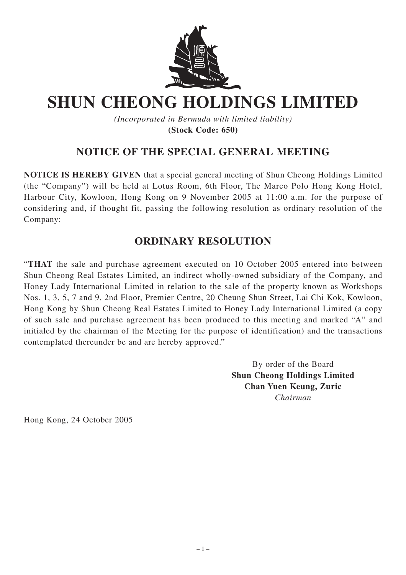

## **SHUN CHEONG HOLDINGS LIMITED**

*(Incorporated in Bermuda with limited liability)* **(Stock Code: 650)**

## **NOTICE OF THE SPECIAL GENERAL MEETING**

**NOTICE IS HEREBY GIVEN** that a special general meeting of Shun Cheong Holdings Limited (the "Company") will be held at Lotus Room, 6th Floor, The Marco Polo Hong Kong Hotel, Harbour City, Kowloon, Hong Kong on 9 November 2005 at 11:00 a.m. for the purpose of considering and, if thought fit, passing the following resolution as ordinary resolution of the Company:

## **ORDINARY RESOLUTION**

"**THAT** the sale and purchase agreement executed on 10 October 2005 entered into between Shun Cheong Real Estates Limited, an indirect wholly-owned subsidiary of the Company, and Honey Lady International Limited in relation to the sale of the property known as Workshops Nos. 1, 3, 5, 7 and 9, 2nd Floor, Premier Centre, 20 Cheung Shun Street, Lai Chi Kok, Kowloon, Hong Kong by Shun Cheong Real Estates Limited to Honey Lady International Limited (a copy of such sale and purchase agreement has been produced to this meeting and marked "A" and initialed by the chairman of the Meeting for the purpose of identification) and the transactions contemplated thereunder be and are hereby approved."

> By order of the Board **Shun Cheong Holdings Limited Chan Yuen Keung, Zuric** *Chairman*

Hong Kong, 24 October 2005